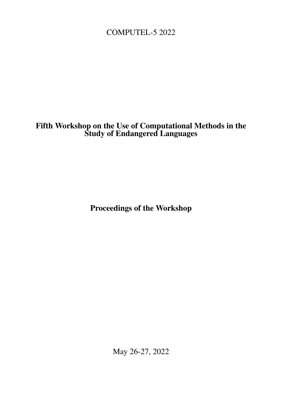<span id="page-0-0"></span>COMPUTEL-5 2022

# Fifth Workshop on the Use of Computational Methods in the Study of Endangered Languages

Proceedings of the Workshop

May 26-27, 2022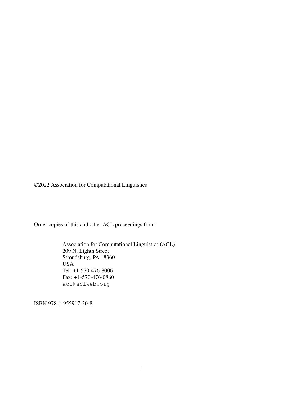©2022 Association for Computational Linguistics

Order copies of this and other ACL proceedings from:

Association for Computational Linguistics (ACL) 209 N. Eighth Street Stroudsburg, PA 18360 USA Tel: +1-570-476-8006 Fax: +1-570-476-0860 acl@aclweb.org

ISBN 978-1-955917-30-8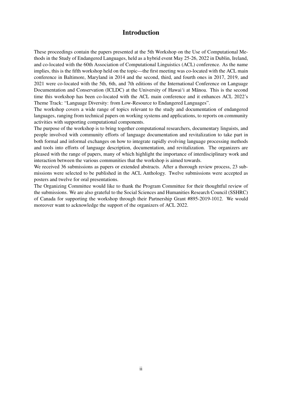### Introduction

These proceedings contain the papers presented at the 5th Workshop on the Use of Computational Methods in the Study of Endangered Languages, held as a hybrid event May 25-26, 2022 in Dublin, Ireland, and co-located with the 60th Association of Computational Linguistics (ACL) conference. As the name implies, this is the fifth workshop held on the topic—the first meeting was co-located with the ACL main conference in Baltimore, Maryland in 2014 and the second, third, and fourth ones in 2017, 2019, and 2021 were co-located with the 5th, 6th, and 7th editions of the International Conference on Language Documentation and Conservation (ICLDC) at the University of Hawai'i at Manoa. This is the second time this workshop has been co-located with the ACL main conference and it enhances ACL 2022's Theme Track: "Language Diversity: from Low-Resource to Endangered Languages".

The workshop covers a wide range of topics relevant to the study and documentation of endangered languages, ranging from technical papers on working systems and applications, to reports on community activities with supporting computational components.

The purpose of the workshop is to bring together computational researchers, documentary linguists, and people involved with community efforts of language documentation and revitalization to take part in both formal and informal exchanges on how to integrate rapidly evolving language processing methods and tools into efforts of language description, documentation, and revitalization. The organizers are pleased with the range of papers, many of which highlight the importance of interdisciplinary work and interaction between the various communities that the workshop is aimed towards.

We received 36 submissions as papers or extended abstracts. After a thorough review process, 23 submissions were selected to be published in the ACL Anthology. Twelve submissions were accepted as posters and twelve for oral presentations.

The Organizing Committee would like to thank the Program Committee for their thoughtful review of the submissions. We are also grateful to the Social Sciences and Humanities Research Council (SSHRC) of Canada for supporting the workshop through their Partnership Grant #895-2019-1012. We would moreover want to acknowledge the support of the organizers of ACL 2022.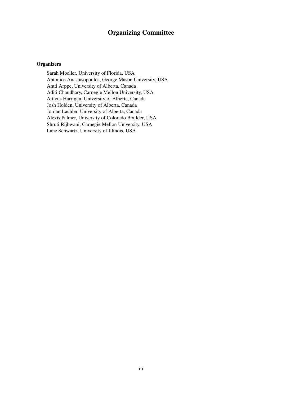## Organizing Committee

#### **Organizers**

Sarah Moeller, University of Florida, USA Antonios Anastasopoulos, George Mason University, USA Antti Arppe, University of Alberta, Canada Aditi Chaudhary, Carnegie Mellon University, USA Atticus Harrigan, University of Alberta, Canada Josh Holden, University of Alberta, Canada Jordan Lachler, University of Alberta, Canada Alexis Palmer, University of Colorado Boulder, USA Shruti Rijhwani, Carnegie Mellon University, USA Lane Schwartz, University of Illinois, USA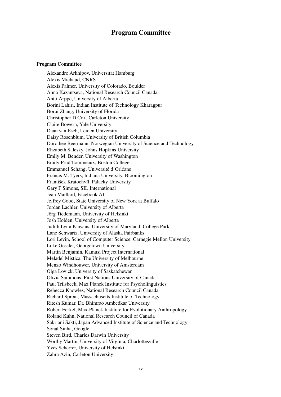### Program Committee

#### Program Committee

Alexandre Arkhipov, Universitat Hamburg ¨ Alexis Michaud, CNRS Alexis Palmer, University of Colorado, Boulder Anna Kazantseva, National Research Council Canada Antti Arppe, University of Alberta Borini Lahiri, Indian Institute of Technology Kharagpur Borui Zhang, University of Florida Christopher D Cox, Carleton University Claire Bowern, Yale University Daan van Esch, Leiden University Daisy Rosenblum, University of British Columbia Dorothee Beermann, Norwegian University of Science and Technology Elizabeth Salesky, Johns Hopkins University Emily M. Bender, University of Washington Emily Prud'hommeaux, Boston College Emmanuel Schang, Université d'Orléans Francis M. Tyers, Indiana University, Bloomington František Kratochvíl, Palacky University Gary F Simons, SIL International Jean Maillard, Facebook AI Jeffrey Good, State University of New York at Buffalo Jordan Lachler, University of Alberta Jörg Tiedemann, University of Helsinki Josh Holden, University of Alberta Judith Lynn Klavans, University of Maryland, College Park Lane Schwartz, University of Alaska Fairbanks Lori Levin, School of Computer Science, Carnegie Mellon University Luke Gessler, Georgetown University Martin Benjamin, Kamusi Project International Meladel Mistica, The University of Melbourne Menzo Windhouwer, University of Amsterdam Olga Lovick, University of Saskatchewan Olivia Sammons, First Nations University of Canada Paul Trilsbeek, Max Planck Institute for Psycholinguistics Rebecca Knowles, National Research Council Canada Richard Sproat, Massachusetts Institute of Technology Ritesh Kumar, Dr. Bhimrao Ambedkar University Robert Forkel, Max-Planck Institute for Evolutionary Anthropology Roland Kuhn, National Research Council of Canada Sakriani Sakti, Japan Advanced Institute of Science and Technology Sonal Sinha, Google Steven Bird, Charles Darwin University Worthy Martin, University of Virginia, Charlottesville Yves Scherrer, University of Helsinki Zahra Azin, Carleton University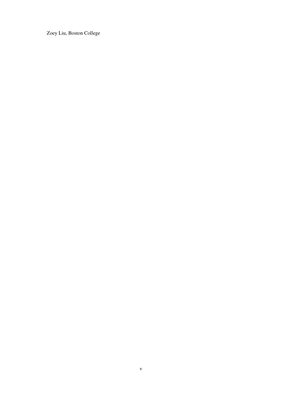Zoey Liu, Boston College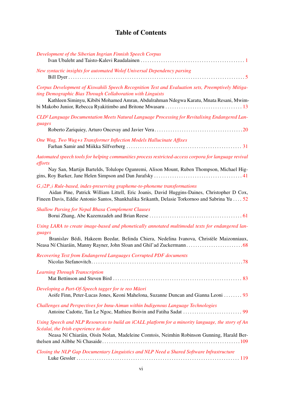# Table of Contents

| Development of the Siberian Ingrian Finnish Speech Corpus                                                                                                                                                                                                                |
|--------------------------------------------------------------------------------------------------------------------------------------------------------------------------------------------------------------------------------------------------------------------------|
| New syntactic insights for automated Wolof Universal Dependency parsing                                                                                                                                                                                                  |
| Corpus Development of Kiswahili Speech Recognition Test and Evaluation sets, Preemptively Mitiga-<br>ting Demographic Bias Through Collaboration with Linguists<br>Kathleen Siminyu, Kibibi Mohamed Amran, Abdulrahman Ndegwa Karatu, Mnata Resani, Mwim-                |
| CLD <sup>2</sup> Language Documentation Meets Natural Language Processing for Revitalising Endangered Lan-<br>guages                                                                                                                                                     |
| One Wug, Two Wug+s Transformer Inflection Models Hallucinate Affixes                                                                                                                                                                                                     |
| Automated speech tools for helping communities process restricted-access corpora for language revival<br>efforts<br>Nay San, Martijn Bartelds, Tolulope Ogunremi, Alison Mount, Ruben Thompson, Michael Hig-                                                             |
| G_i2P_i Rule-based, index-preserving grapheme-to-phoneme transformations<br>Aidan Pine, Patrick William Littell, Eric Joanis, David Huggins-Daines, Christopher D Cox,<br>Fineen Davis, Eddie Antonio Santos, Shankhalika Srikanth, Delasie Torkornoo and Sabrina Yu  52 |
| <b>Shallow Parsing for Nepal Bhasa Complement Clauses</b>                                                                                                                                                                                                                |
| Using LARA to create image-based and phonetically annotated multimodal texts for endangered lan-<br>guages<br>Branislav Bédi, Hakeem Beedar, Belinda Chiera, Nedelina Ivanova, Christèle Maizonniaux,                                                                    |
| Recovering Text from Endangered Languages Corrupted PDF documents                                                                                                                                                                                                        |
| <b>Learning Through Transcription</b>                                                                                                                                                                                                                                    |
| Developing a Part-Of-Speech tagger for te reo Māori<br>Aoife Finn, Peter-Lucas Jones, Keoni Mahelona, Suzanne Duncan and Gianna Leoni 93                                                                                                                                 |
| Challenges and Perspectives for Innu-Aimun within Indigenous Language Technologies                                                                                                                                                                                       |
| Using Speech and NLP Resources to build an iCALL platform for a minority language, the story of An<br>Scéalaí, the Irish experience to date<br>Neasa Ní Chiaráin, Oisín Nolan, Madeleine Comtois, Neimhin Robinson Gunning, Harald Ber-                                  |
| Closing the NLP Gap Documentary Linguistics and NLP Need a Shared Software Infrastructure                                                                                                                                                                                |